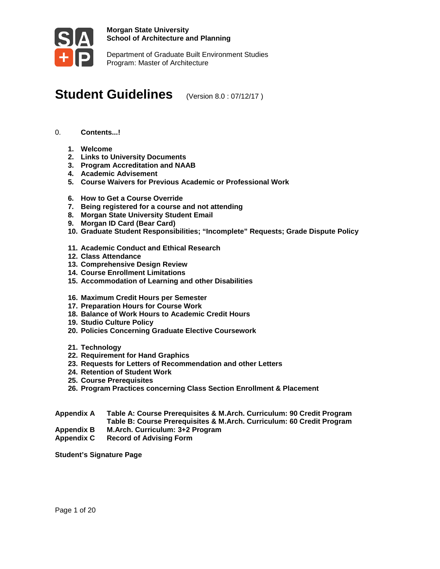

Department of Graduate Built Environment Studies Program: Master of Architecture

# **Student Guidelines** (Version 8.0 : 07/12/17)

- 0. **Contents...!**
	- **1. Welcome**
	- **2. Links to University Documents**
	- **3. Program Accreditation and NAAB**
	- **4. Academic Advisement**
	- **5. Course Waivers for Previous Academic or Professional Work**
	- **6. How to Get a Course Override**
	- **7. Being registered for a course and not attending**
	- **8. Morgan State University Student Email**
	- **9. Morgan ID Card (Bear Card)**
	- **10. Graduate Student Responsibilities; "Incomplete" Requests; Grade Dispute Policy**
	- **11. Academic Conduct and Ethical Research**
	- **12. Class Attendance**
	- **13. Comprehensive Design Review**
	- **14. Course Enrollment Limitations**
	- **15. Accommodation of Learning and other Disabilities**
	- **16. Maximum Credit Hours per Semester**
	- **17. Preparation Hours for Course Work**
	- **18. Balance of Work Hours to Academic Credit Hours**
	- **19. Studio Culture Policy**
	- **20. Policies Concerning Graduate Elective Coursework**
	- **21. Technology**
	- **22. Requirement for Hand Graphics**
	- **23. Requests for Letters of Recommendation and other Letters**
	- **24. Retention of Student Work**
	- **25. Course Prerequisites**
	- **26. Program Practices concerning Class Section Enrollment & Placement**
- **Appendix A Table A: Course Prerequisites & M.Arch. Curriculum: 90 Credit Program Table B: Course Prerequisites & M.Arch. Curriculum: 60 Credit Program**
- **Appendix B M.Arch. Curriculum: 3+2 Program**
- **Record of Advising Form**

**Student's Signature Page**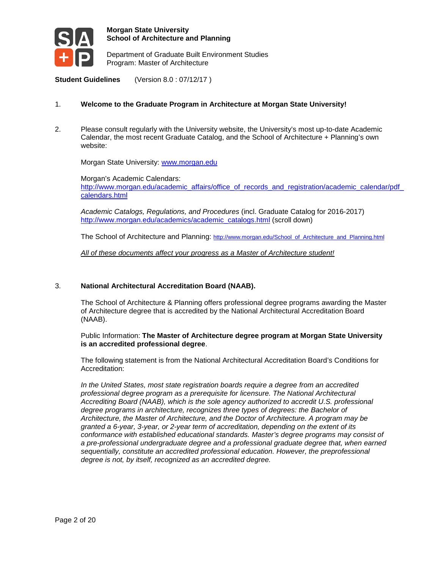

Department of Graduate Built Environment Studies Program: Master of Architecture

**Student Guidelines** (Version 8.0 : 07/12/17 )

#### 1. **Welcome to the Graduate Program in Architecture at Morgan State University!**

2. Please consult regularly with the University website, the University's most up-to-date Academic Calendar, the most recent Graduate Catalog, and the School of Architecture + Planning's own website:

Morgan State University: [www.morgan.edu](http://www.morgan.edu/)

Morgan's Academic Calendars: [http://www.morgan.edu/academic\\_affairs/office\\_of\\_records\\_and\\_registration/academic\\_calendar/pdf\\_](http://www.morgan.edu/academic_affairs/office_of_records_and_registration/academic_calendar/pdf_calendars.html) [calendars.html](http://www.morgan.edu/academic_affairs/office_of_records_and_registration/academic_calendar/pdf_calendars.html)

*Academic Catalogs, Regulations, and Procedures* (incl. Graduate Catalog for 2016-2017) [http://www.morgan.edu/academics/academic\\_catalogs.html](http://www.morgan.edu/academics/academic_catalogs.html) (scroll down)

The School of Architecture and Planning: [http://www.morgan.edu/School\\_of\\_Architecture\\_and\\_Planning.html](http://www.morgan.edu/School_of_Architecture_and_Planning.html)

*All of these documents affect your progress as a Master of Architecture student!*

#### 3. **National Architectural Accreditation Board (NAAB).**

The School of Architecture & Planning offers professional degree programs awarding the Master of Architecture degree that is accredited by the National Architectural Accreditation Board (NAAB).

Public Information: **The Master of Architecture degree program at Morgan State University is an accredited professional degree**.

The following statement is from the National Architectural Accreditation Board's Conditions for Accreditation:

*In the United States, most state registration boards require a degree from an accredited professional degree program as a prerequisite for licensure. The National Architectural Accrediting Board (NAAB), which is the sole agency authorized to accredit U.S. professional degree programs in architecture, recognizes three types of degrees: the Bachelor of Architecture, the Master of Architecture, and the Doctor of Architecture. A program may be granted a 6-year, 3-year, or 2-year term of accreditation, depending on the extent of its conformance with established educational standards. Master's degree programs may consist of a pre-professional undergraduate degree and a professional graduate degree that, when earned sequentially, constitute an accredited professional education. However, the preprofessional degree is not, by itself, recognized as an accredited degree.*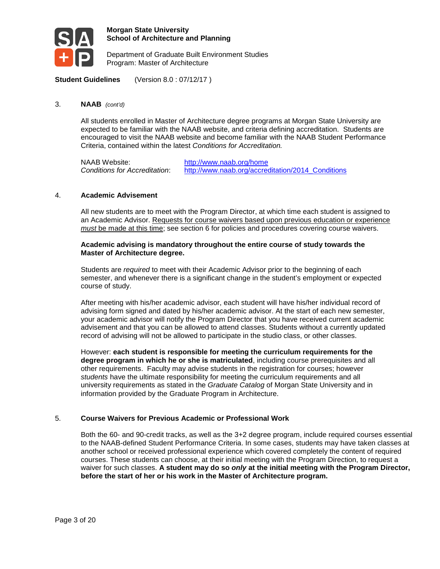

Department of Graduate Built Environment Studies Program: Master of Architecture

**Student Guidelines** (Version 8.0 : 07/12/17 )

#### 3. **NAAB** *(cont'd)*

All students enrolled in Master of Architecture degree programs at Morgan State University are expected to be familiar with the NAAB website, and criteria defining accreditation. Students are encouraged to visit the NAAB website and become familiar with the NAAB Student Performance Criteria, contained within the latest *Conditions for Accreditation.*

NAAB Website: <http://www.naab.org/home> *Conditions for Accreditation*: [http://www.naab.org/accreditation/2014\\_Conditions](http://www.naab.org/accreditation/2014_Conditions)

#### 4. **Academic Advisement**

All new students are to meet with the Program Director, at which time each student is assigned to an Academic Advisor. Requests for course waivers based upon previous education or experience *must* be made at this time; see section 6 for policies and procedures covering course waivers.

#### **Academic advising is mandatory throughout the entire course of study towards the Master of Architecture degree.**

Students are *required* to meet with their Academic Advisor prior to the beginning of each semester, and whenever there is a significant change in the student's employment or expected course of study.

After meeting with his/her academic advisor, each student will have his/her individual record of advising form signed and dated by his/her academic advisor. At the start of each new semester, your academic advisor will notify the Program Director that you have received current academic advisement and that you can be allowed to attend classes. Students without a currently updated record of advising will not be allowed to participate in the studio class, or other classes.

However: **each student is responsible for meeting the curriculum requirements for the degree program in which he or she is matriculated**, including course prerequisites and all other requirements. Faculty may advise students in the registration for courses; however *students* have the ultimate responsibility for meeting the curriculum requirements and all university requirements as stated in the *Graduate Catalog* of Morgan State University and in information provided by the Graduate Program in Architecture.

#### 5. **Course Waivers for Previous Academic or Professional Work**

Both the 60- and 90-credit tracks, as well as the 3+2 degree program, include required courses essential to the NAAB-defined Student Performance Criteria. In some cases, students may have taken classes at another school or received professional experience which covered completely the content of required courses. These students can choose, at their initial meeting with the Program Direction, to request a waiver for such classes. **A student may do so** *only* **at the initial meeting with the Program Director, before the start of her or his work in the Master of Architecture program.**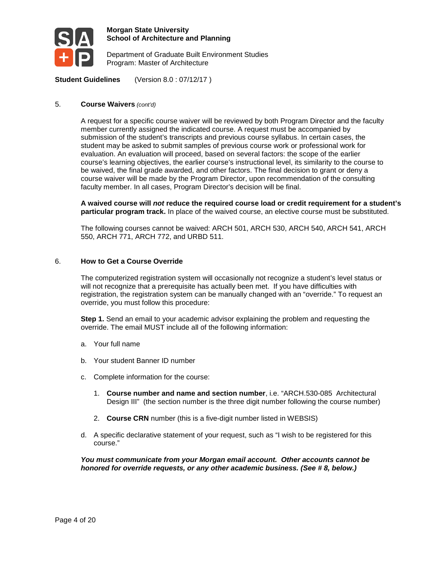

Department of Graduate Built Environment Studies Program: Master of Architecture

**Student Guidelines** (Version 8.0 : 07/12/17 )

#### 5. **Course Waivers** *(cont'd)*

A request for a specific course waiver will be reviewed by both Program Director and the faculty member currently assigned the indicated course. A request must be accompanied by submission of the student's transcripts and previous course syllabus. In certain cases, the student may be asked to submit samples of previous course work or professional work for evaluation. An evaluation will proceed, based on several factors: the scope of the earlier course's learning objectives, the earlier course's instructional level, its similarity to the course to be waived, the final grade awarded, and other factors. The final decision to grant or deny a course waiver will be made by the Program Director, upon recommendation of the consulting faculty member. In all cases, Program Director's decision will be final.

**A waived course will** *not* **reduce the required course load or credit requirement for a student's particular program track.** In place of the waived course, an elective course must be substituted.

The following courses cannot be waived: ARCH 501, ARCH 530, ARCH 540, ARCH 541, ARCH 550, ARCH 771, ARCH 772, and URBD 511.

#### 6. **How to Get a Course Override**

The computerized registration system will occasionally not recognize a student's level status or will not recognize that a prerequisite has actually been met. If you have difficulties with registration, the registration system can be manually changed with an "override." To request an override, you must follow this procedure:

**Step 1.** Send an email to your academic advisor explaining the problem and requesting the override. The email MUST include all of the following information:

- a. Your full name
- b. Your student Banner ID number
- c. Complete information for the course:
	- 1. **Course number and name and section number**, i.e. "ARCH.530-085 Architectural Design III" (the section number is the three digit number following the course number)
	- 2. **Course CRN** number (this is a five-digit number listed in WEBSIS)
- d. A specific declarative statement of your request, such as "I wish to be registered for this course."

*You must communicate from your Morgan email account. Other accounts cannot be honored for override requests, or any other academic business. (See # 8, below.)*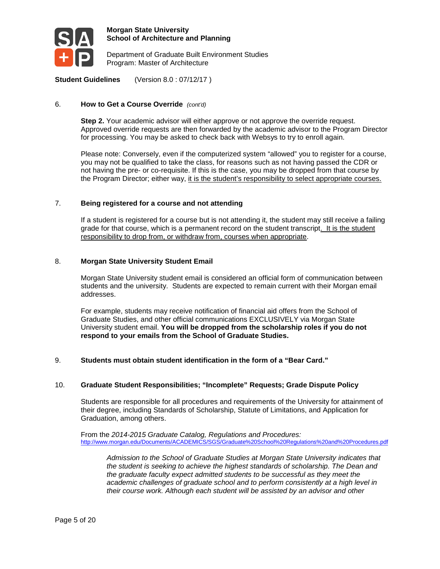

Department of Graduate Built Environment Studies Program: Master of Architecture

**Student Guidelines** (Version 8.0 : 07/12/17 )

#### 6. **How to Get a Course Override** *(cont'd)*

**Step 2.** Your academic advisor will either approve or not approve the override request. Approved override requests are then forwarded by the academic advisor to the Program Director for processing. You may be asked to check back with Websys to try to enroll again.

Please note: Conversely, even if the computerized system "allowed" you to register for a course, you may not be qualified to take the class, for reasons such as not having passed the CDR or not having the pre- or co-requisite. If this is the case, you may be dropped from that course by the Program Director; either way, it is the student's responsibility to select appropriate courses.

#### 7. **Being registered for a course and not attending**

If a student is registered for a course but is not attending it, the student may still receive a failing grade for that course, which is a permanent record on the student transcript. It is the student responsibility to drop from, or withdraw from, courses when appropriate.

#### 8. **Morgan State University Student Email**

Morgan State University student email is considered an official form of communication between students and the university. Students are expected to remain current with their Morgan email addresses.

For example, students may receive notification of financial aid offers from the School of Graduate Studies, and other official communications EXCLUSIVELY via Morgan State University student email. **You will be dropped from the scholarship roles if you do not respond to your emails from the School of Graduate Studies.**

#### 9. **Students must obtain student identification in the form of a "Bear Card."**

#### 10. **Graduate Student Responsibilities; "Incomplete" Requests; Grade Dispute Policy**

Students are responsible for all procedures and requirements of the University for attainment of their degree, including Standards of Scholarship, Statute of Limitations, and Application for Graduation, among others.

From the *2014-2015 Graduate Catalog, Regulations and Procedures:* <http://www.morgan.edu/Documents/ACADEMICS/SGS/Graduate%20School%20Regulations%20and%20Procedures.pdf>

*Admission to the School of Graduate Studies at Morgan State University indicates that the student is seeking to achieve the highest standards of scholarship. The Dean and the graduate faculty expect admitted students to be successful as they meet the academic challenges of graduate school and to perform consistently at a high level in their course work. Although each student will be assisted by an advisor and other*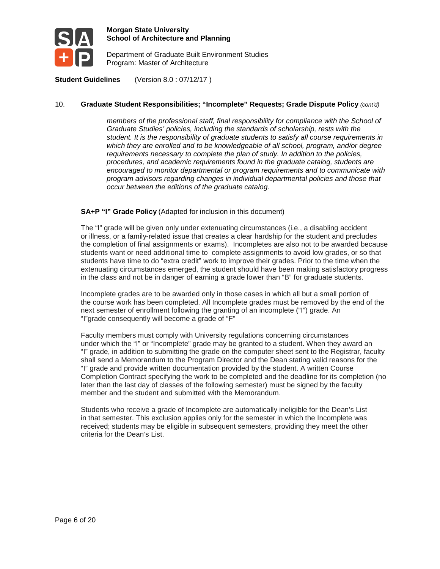

Department of Graduate Built Environment Studies Program: Master of Architecture

**Student Guidelines** (Version 8.0 : 07/12/17 )

#### 10. **Graduate Student Responsibilities; "Incomplete" Requests; Grade Dispute Policy** *(cont'd)*

*members of the professional staff, final responsibility for compliance with the School of Graduate Studies' policies, including the standards of scholarship, rests with the student. It is the responsibility of graduate students to satisfy all course requirements in which they are enrolled and to be knowledgeable of all school, program, and/or degree requirements necessary to complete the plan of study. In addition to the policies, procedures, and academic requirements found in the graduate catalog, students are encouraged to monitor departmental or program requirements and to communicate with program advisors regarding changes in individual departmental policies and those that occur between the editions of the graduate catalog.*

#### **SA+P "I" Grade Policy** (Adapted for inclusion in this document)

The "I" grade will be given only under extenuating circumstances (i.e., a disabling accident or illness, or a family-related issue that creates a clear hardship for the student and precludes the completion of final assignments or exams). Incompletes are also not to be awarded because students want or need additional time to complete assignments to avoid low grades, or so that students have time to do "extra credit" work to improve their grades. Prior to the time when the extenuating circumstances emerged, the student should have been making satisfactory progress in the class and not be in danger of earning a grade lower than "B" for graduate students.

Incomplete grades are to be awarded only in those cases in which all but a small portion of the course work has been completed. All Incomplete grades must be removed by the end of the next semester of enrollment following the granting of an incomplete ("I") grade. An "I"grade consequently will become a grade of "F"

Faculty members must comply with University regulations concerning circumstances under which the "I" or "Incomplete" grade may be granted to a student. When they award an "I" grade, in addition to submitting the grade on the computer sheet sent to the Registrar, faculty shall send a Memorandum to the Program Director and the Dean stating valid reasons for the "I" grade and provide written documentation provided by the student. A written Course Completion Contract specifying the work to be completed and the deadline for its completion (no later than the last day of classes of the following semester) must be signed by the faculty member and the student and submitted with the Memorandum.

Students who receive a grade of Incomplete are automatically ineligible for the Dean's List in that semester. This exclusion applies only for the semester in which the Incomplete was received; students may be eligible in subsequent semesters, providing they meet the other criteria for the Dean's List.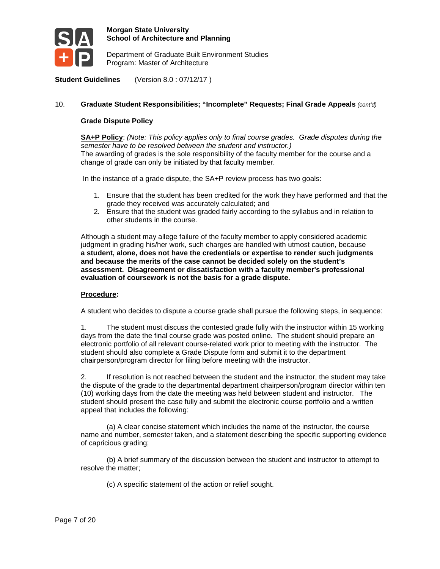

Department of Graduate Built Environment Studies Program: Master of Architecture

**Student Guidelines** (Version 8.0 : 07/12/17 )

#### 10. **Graduate Student Responsibilities; "Incomplete" Requests; Final Grade Appeals** *(cont'd)*

#### **Grade Dispute Policy**

**SA+P Policy**: *(Note: This policy applies only to final course grades. Grade disputes during the semester have to be resolved between the student and instructor.)* The awarding of grades is the sole responsibility of the faculty member for the course and a change of grade can only be initiated by that faculty member.

In the instance of a grade dispute, the SA+P review process has two goals:

- 1. Ensure that the student has been credited for the work they have performed and that the grade they received was accurately calculated; and
- 2. Ensure that the student was graded fairly according to the syllabus and in relation to other students in the course.

Although a student may allege failure of the faculty member to apply considered academic judgment in grading his/her work, such charges are handled with utmost caution, because **a student, alone, does not have the credentials or expertise to render such judgments and because the merits of the case cannot be decided solely on the student's assessment. Disagreement or dissatisfaction with a faculty member's professional evaluation of coursework is not the basis for a grade dispute.**

#### **Procedure:**

A student who decides to dispute a course grade shall pursue the following steps, in sequence:

1. The student must discuss the contested grade fully with the instructor within 15 working days from the date the final course grade was posted online. The student should prepare an electronic portfolio of all relevant course-related work prior to meeting with the instructor. The student should also complete a Grade Dispute form and submit it to the department chairperson/program director for filing before meeting with the instructor.

2. If resolution is not reached between the student and the instructor, the student may take the dispute of the grade to the departmental department chairperson/program director within ten (10) working days from the date the meeting was held between student and instructor. The student should present the case fully and submit the electronic course portfolio and a written appeal that includes the following:

(a) A clear concise statement which includes the name of the instructor, the course name and number, semester taken, and a statement describing the specific supporting evidence of capricious grading;

(b) A brief summary of the discussion between the student and instructor to attempt to resolve the matter;

(c) A specific statement of the action or relief sought.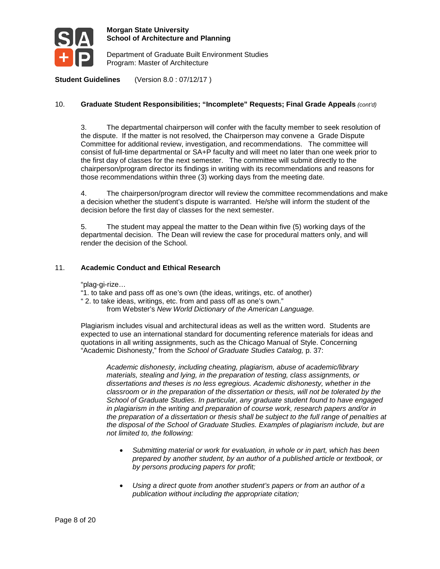

Department of Graduate Built Environment Studies Program: Master of Architecture

**Student Guidelines** (Version 8.0 : 07/12/17 )

#### 10. **Graduate Student Responsibilities; "Incomplete" Requests; Final Grade Appeals** *(cont'd)*

3. The departmental chairperson will confer with the faculty member to seek resolution of the dispute. If the matter is not resolved, the Chairperson may convene a Grade Dispute Committee for additional review, investigation, and recommendations. The committee will consist of full-time departmental or SA+P faculty and will meet no later than one week prior to the first day of classes for the next semester. The committee will submit directly to the chairperson/program director its findings in writing with its recommendations and reasons for those recommendations within three (3) working days from the meeting date.

4. The chairperson/program director will review the committee recommendations and make a decision whether the student's dispute is warranted. He/she will inform the student of the decision before the first day of classes for the next semester.

5. The student may appeal the matter to the Dean within five (5) working days of the departmental decision. The Dean will review the case for procedural matters only, and will render the decision of the School.

#### 11. **Academic Conduct and Ethical Research**

"plag-gi-rize…

"1. to take and pass off as one's own (the ideas, writings, etc. of another)

" 2. to take ideas, writings, etc. from and pass off as one's own."

from Webster's *New World Dictionary of the American Language.*

Plagiarism includes visual and architectural ideas as well as the written word. Students are expected to use an international standard for documenting reference materials for ideas and quotations in all writing assignments, such as the Chicago Manual of Style. Concerning "Academic Dishonesty," from the *School of Graduate Studies Catalog,* p. 37:

*Academic dishonesty, including cheating, plagiarism, abuse of academic/library materials, stealing and lying, in the preparation of testing, class assignments, or dissertations and theses is no less egregious. Academic dishonesty, whether in the classroom or in the preparation of the dissertation or thesis, will not be tolerated by the School of Graduate Studies. In particular, any graduate student found to have engaged in plagiarism in the writing and preparation of course work, research papers and/or in the preparation of a dissertation or thesis shall be subject to the full range of penalties at the disposal of the School of Graduate Studies. Examples of plagiarism include, but are not limited to, the following:* 

- *Submitting material or work for evaluation, in whole or in part, which has been prepared by another student, by an author of a published article or textbook, or by persons producing papers for profit;*
- *Using a direct quote from another student's papers or from an author of a publication without including the appropriate citation;*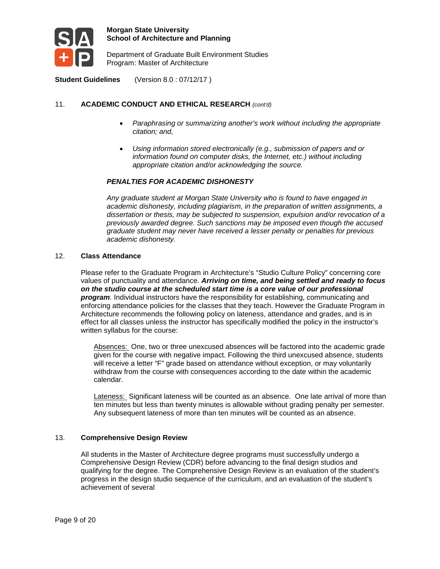

Department of Graduate Built Environment Studies Program: Master of Architecture

**Student Guidelines** (Version 8.0 : 07/12/17 )

### 11. **ACADEMIC CONDUCT AND ETHICAL RESEARCH** *(cont'd)*

- *Paraphrasing or summarizing another's work without including the appropriate citation; and,*
- *Using information stored electronically (e.g., submission of papers and or information found on computer disks, the Internet, etc.) without including appropriate citation and/or acknowledging the source.*

#### *PENALTIES FOR ACADEMIC DISHONESTY*

*Any graduate student at Morgan State University who is found to have engaged in academic dishonesty, including plagiarism, in the preparation of written assignments, a dissertation or thesis, may be subjected to suspension, expulsion and/or revocation of a previously awarded degree. Such sanctions may be imposed even though the accused graduate student may never have received a lesser penalty or penalties for previous academic dishonesty.*

#### 12. **Class Attendance**

Please refer to the Graduate Program in Architecture's "Studio Culture Policy" concerning core values of punctuality and attendance. *Arriving on time, and being settled and ready to focus on the studio course at the scheduled start time is a core value of our professional program.* Individual instructors have the responsibility for establishing, communicating and enforcing attendance policies for the classes that they teach. However the Graduate Program in Architecture recommends the following policy on lateness, attendance and grades, and is in effect for all classes unless the instructor has specifically modified the policy in the instructor's written syllabus for the course:

Absences: One, two or three unexcused absences will be factored into the academic grade given for the course with negative impact. Following the third unexcused absence, students will receive a letter "F" grade based on attendance without exception, or may voluntarily withdraw from the course with consequences according to the date within the academic calendar.

Lateness: Significant lateness will be counted as an absence. One late arrival of more than ten minutes but less than twenty minutes is allowable without grading penalty per semester. Any subsequent lateness of more than ten minutes will be counted as an absence.

#### 13. **Comprehensive Design Review**

All students in the Master of Architecture degree programs must successfully undergo a Comprehensive Design Review (CDR) before advancing to the final design studios and qualifying for the degree. The Comprehensive Design Review is an evaluation of the student's progress in the design studio sequence of the curriculum, and an evaluation of the student's achievement of several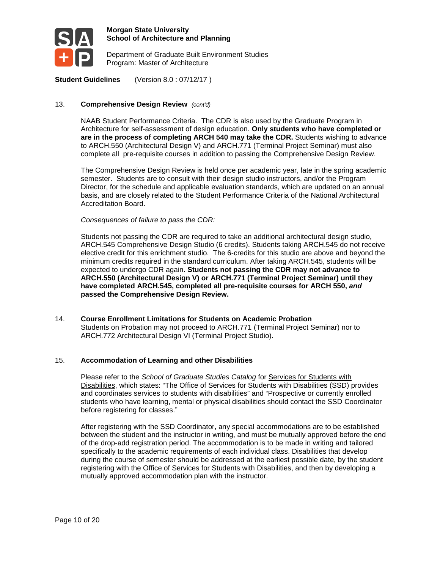

Department of Graduate Built Environment Studies Program: Master of Architecture

**Student Guidelines** (Version 8.0 : 07/12/17 )

#### 13. **Comprehensive Design Review** *(cont'd)*

NAAB Student Performance Criteria. The CDR is also used by the Graduate Program in Architecture for self-assessment of design education. **Only students who have completed or are in the process of completing ARCH 540 may take the CDR.** Students wishing to advance to ARCH.550 (Architectural Design V) and ARCH.771 (Terminal Project Seminar) must also complete all pre-requisite courses in addition to passing the Comprehensive Design Review.

The Comprehensive Design Review is held once per academic year, late in the spring academic semester. Students are to consult with their design studio instructors, and/or the Program Director, for the schedule and applicable evaluation standards, which are updated on an annual basis, and are closely related to the Student Performance Criteria of the National Architectural Accreditation Board.

*Consequences of failure to pass the CDR:*

Students not passing the CDR are required to take an additional architectural design studio, ARCH.545 Comprehensive Design Studio (6 credits). Students taking ARCH.545 do not receive elective credit for this enrichment studio. The 6-credits for this studio are above and beyond the minimum credits required in the standard curriculum. After taking ARCH.545, students will be expected to undergo CDR again. **Students not passing the CDR may not advance to ARCH.550 (Architectural Design V) or ARCH.771 (Terminal Project Seminar) until they have completed ARCH.545, completed all pre-requisite courses for ARCH 550,** *and* **passed the Comprehensive Design Review.**

14. **Course Enrollment Limitations for Students on Academic Probation** Students on Probation may not proceed to ARCH.771 (Terminal Project Seminar) nor to ARCH.772 Architectural Design VI (Terminal Project Studio).

#### 15. **Accommodation of Learning and other Disabilities**

Please refer to the *School of Graduate Studies Catalog* for Services for Students with Disabilities, which states: "The Office of Services for Students with Disabilities (SSD) provides and coordinates services to students with disabilities" and "Prospective or currently enrolled students who have learning, mental or physical disabilities should contact the SSD Coordinator before registering for classes."

After registering with the SSD Coordinator, any special accommodations are to be established between the student and the instructor in writing, and must be mutually approved before the end of the drop-add registration period. The accommodation is to be made in writing and tailored specifically to the academic requirements of each individual class. Disabilities that develop during the course of semester should be addressed at the earliest possible date, by the student registering with the Office of Services for Students with Disabilities, and then by developing a mutually approved accommodation plan with the instructor.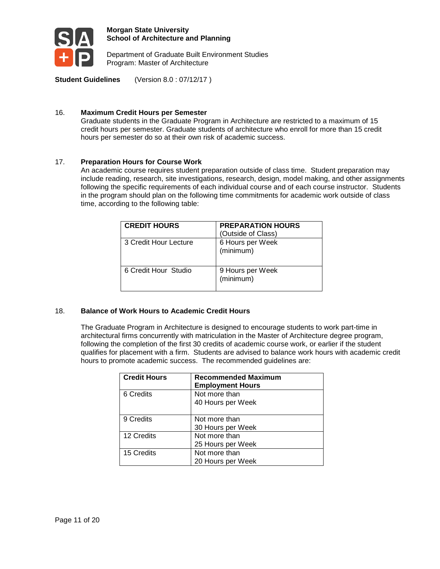

Department of Graduate Built Environment Studies Program: Master of Architecture

**Student Guidelines** (Version 8.0 : 07/12/17 )

#### 16. **Maximum Credit Hours per Semester**

Graduate students in the Graduate Program in Architecture are restricted to a maximum of 15 credit hours per semester. Graduate students of architecture who enroll for more than 15 credit hours per semester do so at their own risk of academic success.

#### 17. **Preparation Hours for Course Work**

An academic course requires student preparation outside of class time. Student preparation may include reading, research, site investigations, research, design, model making, and other assignments following the specific requirements of each individual course and of each course instructor. Students in the program should plan on the following time commitments for academic work outside of class time, according to the following table:

| <b>CREDIT HOURS</b>   | <b>PREPARATION HOURS</b><br>(Outside of Class) |
|-----------------------|------------------------------------------------|
| 3 Credit Hour Lecture | 6 Hours per Week<br>(minimum)                  |
| 6 Credit Hour Studio  | 9 Hours per Week<br>(minimum)                  |

#### 18. **Balance of Work Hours to Academic Credit Hours**

The Graduate Program in Architecture is designed to encourage students to work part-time in architectural firms concurrently with matriculation in the Master of Architecture degree program, following the completion of the first 30 credits of academic course work, or earlier if the student qualifies for placement with a firm. Students are advised to balance work hours with academic credit hours to promote academic success. The recommended guidelines are:

| <b>Credit Hours</b> | <b>Recommended Maximum</b><br><b>Employment Hours</b> |
|---------------------|-------------------------------------------------------|
| 6 Credits           | Not more than<br>40 Hours per Week                    |
| 9 Credits           | Not more than<br>30 Hours per Week                    |
| 12 Credits          | Not more than<br>25 Hours per Week                    |
| 15 Credits          | Not more than<br>20 Hours per Week                    |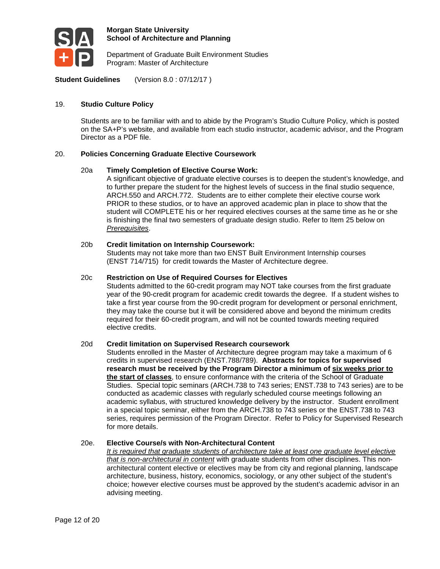

Department of Graduate Built Environment Studies Program: Master of Architecture

**Student Guidelines** (Version 8.0 : 07/12/17 )

#### 19. **Studio Culture Policy**

Students are to be familiar with and to abide by the Program's Studio Culture Policy, which is posted on the SA+P's website, and available from each studio instructor, academic advisor, and the Program Director as a PDF file.

#### 20. **Policies Concerning Graduate Elective Coursework**

#### 20a **Timely Completion of Elective Course Work:**

A significant objective of graduate elective courses is to deepen the student's knowledge, and to further prepare the student for the highest levels of success in the final studio sequence, ARCH.550 and ARCH.772. Students are to either complete their elective course work PRIOR to these studios, or to have an approved academic plan in place to show that the student will COMPLETE his or her required electives courses at the same time as he or she is finishing the final two semesters of graduate design studio. Refer to Item 25 below on *Prerequisites*.

#### 20b **Credit limitation on Internship Coursework:**

Students may not take more than two ENST Built Environment Internship courses (ENST 714/715) for credit towards the Master of Architecture degree.

#### 20c **Restriction on Use of Required Courses for Electives**

Students admitted to the 60-credit program may NOT take courses from the first graduate year of the 90-credit program for academic credit towards the degree. If a student wishes to take a first year course from the 90-credit program for development or personal enrichment, they may take the course but it will be considered above and beyond the minimum credits required for their 60-credit program, and will not be counted towards meeting required elective credits.

#### 20d **Credit limitation on Supervised Research coursework**

Students enrolled in the Master of Architecture degree program may take a maximum of 6 credits in supervised research (ENST.788/789). **Abstracts for topics for supervised research must be received by the Program Director a minimum of six weeks prior to the start of classes**, to ensure conformance with the criteria of the School of Graduate Studies. Special topic seminars (ARCH.738 to 743 series; ENST.738 to 743 series) are to be conducted as academic classes with regularly scheduled course meetings following an academic syllabus, with structured knowledge delivery by the instructor. Student enrollment in a special topic seminar, either from the ARCH.738 to 743 series or the ENST.738 to 743 series, requires permission of the Program Director. Refer to Policy for Supervised Research for more details.

#### 20e. **Elective Course/s with Non-Architectural Content**

*It is required that graduate students of architecture take at least one graduate level elective that is non-architectural in content* with graduate students from other disciplines. This nonarchitectural content elective or electives may be from city and regional planning, landscape architecture, business, history, economics, sociology, or any other subject of the student's choice; however elective courses must be approved by the student's academic advisor in an advising meeting.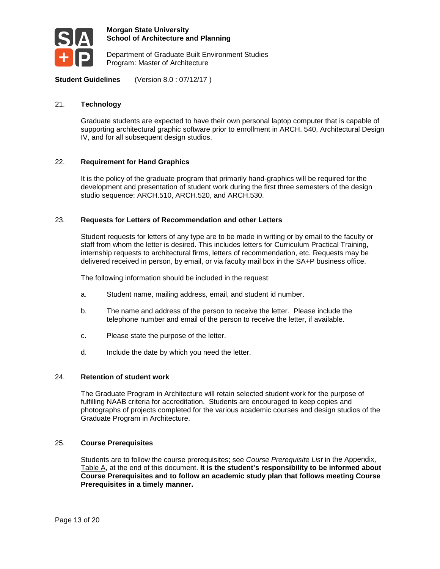

Department of Graduate Built Environment Studies Program: Master of Architecture

**Student Guidelines** (Version 8.0 : 07/12/17 )

#### 21. **Technology**

Graduate students are expected to have their own personal laptop computer that is capable of supporting architectural graphic software prior to enrollment in ARCH. 540, Architectural Design IV, and for all subsequent design studios.

#### 22. **Requirement for Hand Graphics**

It is the policy of the graduate program that primarily hand-graphics will be required for the development and presentation of student work during the first three semesters of the design studio sequence: ARCH.510, ARCH.520, and ARCH.530.

#### 23. **Requests for Letters of Recommendation and other Letters**

Student requests for letters of any type are to be made in writing or by email to the faculty or staff from whom the letter is desired. This includes letters for Curriculum Practical Training, internship requests to architectural firms, letters of recommendation, etc. Requests may be delivered received in person, by email, or via faculty mail box in the SA+P business office.

The following information should be included in the request:

- a. Student name, mailing address, email, and student id number.
- b. The name and address of the person to receive the letter. Please include the telephone number and email of the person to receive the letter, if available.
- c. Please state the purpose of the letter.
- d. Include the date by which you need the letter.

#### 24. **Retention of student work**

The Graduate Program in Architecture will retain selected student work for the purpose of fulfilling NAAB criteria for accreditation. Students are encouraged to keep copies and photographs of projects completed for the various academic courses and design studios of the Graduate Program in Architecture.

#### 25. **Course Prerequisites**

Students are to follow the course prerequisites; see *Course Prerequisite List* in the Appendix, Table A, at the end of this document. **It is the student's responsibility to be informed about Course Prerequisites and to follow an academic study plan that follows meeting Course Prerequisites in a timely manner.**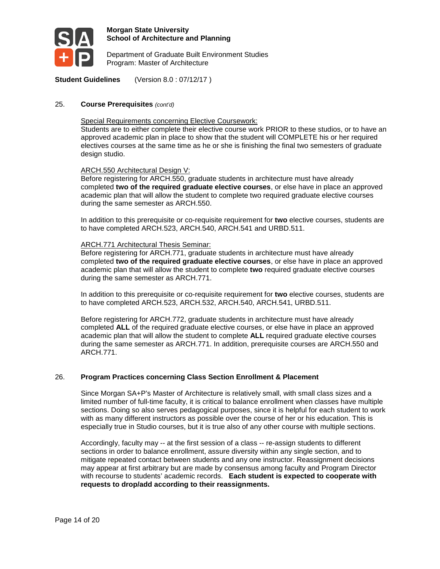

Department of Graduate Built Environment Studies Program: Master of Architecture

**Student Guidelines** (Version 8.0 : 07/12/17 )

#### 25. **Course Prerequisites** *(cont'd)*

Special Requirements concerning Elective Coursework:

Students are to either complete their elective course work PRIOR to these studios, or to have an approved academic plan in place to show that the student will COMPLETE his or her required electives courses at the same time as he or she is finishing the final two semesters of graduate design studio.

#### ARCH.550 Architectural Design V:

Before registering for ARCH.550, graduate students in architecture must have already completed **two of the required graduate elective courses**, or else have in place an approved academic plan that will allow the student to complete two required graduate elective courses during the same semester as ARCH.550.

In addition to this prerequisite or co-requisite requirement for **two** elective courses, students are to have completed ARCH.523, ARCH.540, ARCH.541 and URBD.511.

#### ARCH.771 Architectural Thesis Seminar:

Before registering for ARCH.771, graduate students in architecture must have already completed **two of the required graduate elective courses**, or else have in place an approved academic plan that will allow the student to complete **two** required graduate elective courses during the same semester as ARCH.771.

In addition to this prerequisite or co-requisite requirement for **two** elective courses, students are to have completed ARCH.523, ARCH.532, ARCH.540, ARCH.541, URBD.511.

Before registering for ARCH.772, graduate students in architecture must have already completed **ALL** of the required graduate elective courses, or else have in place an approved academic plan that will allow the student to complete **ALL** required graduate elective courses during the same semester as ARCH.771. In addition, prerequisite courses are ARCH.550 and ARCH.771.

#### 26. **Program Practices concerning Class Section Enrollment & Placement**

Since Morgan SA+P's Master of Architecture is relatively small, with small class sizes and a limited number of full-time faculty, it is critical to balance enrollment when classes have multiple sections. Doing so also serves pedagogical purposes, since it is helpful for each student to work with as many different instructors as possible over the course of her or his education. This is especially true in Studio courses, but it is true also of any other course with multiple sections.

Accordingly, faculty may -- at the first session of a class -- re-assign students to different sections in order to balance enrollment, assure diversity within any single section, and to mitigate repeated contact between students and any one instructor. Reassignment decisions may appear at first arbitrary but are made by consensus among faculty and Program Director with recourse to students' academic records. **Each student is expected to cooperate with requests to drop/add according to their reassignments.**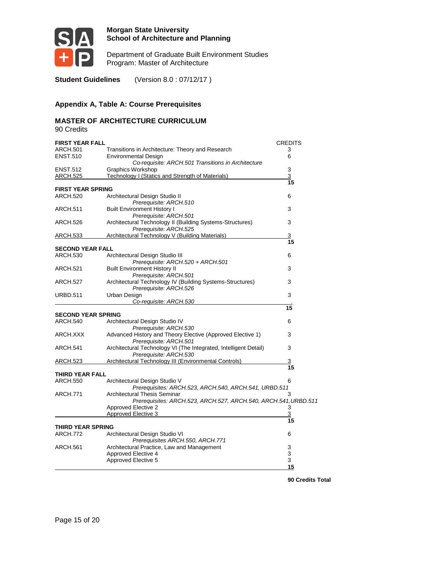

Department of Graduate Built Environment Studies Program: Master of Architecture

**Student Guidelines** (Version 8.0 : 07/12/17 )

# **Appendix A, Table A: Course Prerequisites**

# **MASTER OF ARCHITECTURE CURRICULUM**

90 Credits

| <b>FIRST YEAR FALL</b>    |                                                                                                               | <b>CREDITS</b> |
|---------------------------|---------------------------------------------------------------------------------------------------------------|----------------|
| ARCH.501                  | Transitions in Architecture: Theory and Research                                                              | 3              |
| <b>ENST.510</b>           | <b>Environmental Design</b><br>Co-requisite: ARCH.501 Transitions in Architecture                             | 6              |
| <b>ENST.512</b>           | Graphics Workshop                                                                                             | 3              |
| ARCH.525                  | Technology I (Statics and Strength of Materials)                                                              | $\overline{3}$ |
|                           |                                                                                                               | 15             |
| <b>FIRST YEAR SPRING</b>  |                                                                                                               |                |
| ARCH.520                  | Architectural Design Studio II<br>Prerequisite: ARCH.510                                                      | 6              |
| ARCH.511                  | <b>Built Environment History I</b>                                                                            | 3              |
|                           | Prerequisite: ARCH.501                                                                                        |                |
| ARCH.526                  | Architectural Technology II (Building Systems-Structures)<br>Prerequisite: ARCH.525                           | 3              |
| ARCH.533                  | Architectural Technology V (Building Materials)                                                               | 3              |
|                           |                                                                                                               | 15             |
| <b>SECOND YEAR FALL</b>   |                                                                                                               |                |
| ARCH.530                  | Architectural Design Studio III                                                                               | 6              |
|                           | Prerequisite: ARCH.520 + ARCH.501                                                                             |                |
| ARCH.521                  | <b>Built Environment History II</b>                                                                           | 3              |
| ARCH.527                  | Prerequisite: ARCH.501<br>Architectural Technology IV (Building Systems-Structures)<br>Prerequisite: ARCH.526 | 3              |
| <b>URBD.511</b>           | Urban Design                                                                                                  | 3              |
|                           | Co-requisite: ARCH.530                                                                                        |                |
|                           |                                                                                                               | 15             |
| <b>SECOND YEAR SPRING</b> |                                                                                                               |                |
| <b>ARCH.540</b>           | Architectural Design Studio IV<br>Prerequisite: ARCH.530                                                      | 6              |
| ARCH.XXX                  | Advanced History and Theory Elective (Approved Elective 1)                                                    | 3              |
|                           | Prerequisite: ARCH.501                                                                                        |                |
| ARCH.541                  | Architectural Technology VI (The Integrated, Intelligent Detail)<br>Prerequisite: ARCH.530                    | 3              |
| <u>ARCH.523</u>           | Architectural Technology III (Environmental Controls)                                                         | 3              |
|                           |                                                                                                               | 15             |
| THIRD YEAR FALL           |                                                                                                               |                |
| ARCH.550                  | Architectural Design Studio V                                                                                 | 6              |
|                           | Prerequisites: ARCH.523, ARCH.540, ARCH.541, URBD.511                                                         |                |
| <b>ARCH.771</b>           | <b>Architectural Thesis Seminar</b><br>Prerequisites: ARCH.523, ARCH.527, ARCH.540, ARCH.541, URBD.511        | 3              |
|                           | <b>Approved Elective 2</b>                                                                                    | 3              |
|                           | Approved Elective 3                                                                                           | 3              |
| THIRD YEAR SPRING         |                                                                                                               | 15             |
| ARCH.772                  | Architectural Design Studio VI                                                                                | 6              |
|                           | Prerequisites ARCH.550, ARCH.771                                                                              |                |
| ARCH.561                  | Architectural Practice, Law and Management                                                                    | 3              |
|                           | Approved Elective 4                                                                                           | 3              |
|                           | Approved Elective 5                                                                                           | 3              |
|                           |                                                                                                               | 15             |

 **90 Credits Total**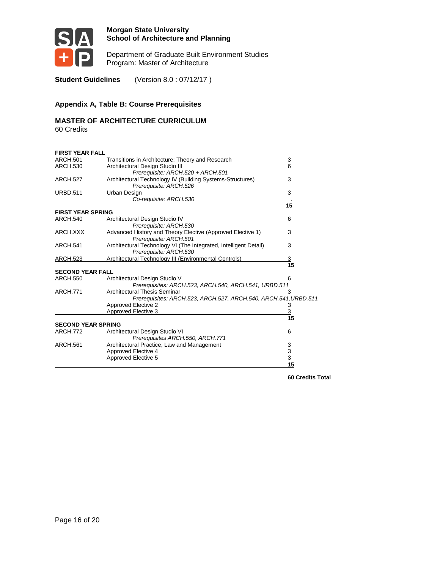

Department of Graduate Built Environment Studies Program: Master of Architecture

**Student Guidelines** (Version 8.0 : 07/12/17 )

#### **Appendix A, Table B: Course Prerequisites**

# **MASTER OF ARCHITECTURE CURRICULUM**

60 Credits

| <b>FIRST YEAR FALL</b>    |                                                                                            |             |
|---------------------------|--------------------------------------------------------------------------------------------|-------------|
| ARCH.501                  | Transitions in Architecture: Theory and Research                                           | 3           |
| <b>ARCH.530</b>           | Architectural Design Studio III                                                            | 6           |
|                           | Prerequisite: ARCH.520 + ARCH.501                                                          |             |
| <b>ARCH.527</b>           | Architectural Technology IV (Building Systems-Structures)                                  | 3           |
|                           | Prerequisite: ARCH.526                                                                     |             |
| <b>URBD.511</b>           | Urban Design<br>Co-requisite: ARCH.530                                                     | 3           |
|                           |                                                                                            | 15          |
| <b>FIRST YEAR SPRING</b>  |                                                                                            |             |
| <b>ARCH.540</b>           | Architectural Design Studio IV                                                             | 6           |
|                           | Prerequisite: ARCH.530                                                                     |             |
| ARCH.XXX                  | Advanced History and Theory Elective (Approved Elective 1)<br>Prerequisite: ARCH.501       | 3           |
| <b>ARCH.541</b>           | Architectural Technology VI (The Integrated, Intelligent Detail)<br>Prerequisite: ARCH.530 | 3           |
| ARCH.523                  | Architectural Technology III (Environmental Controls)                                      | <u>3</u>    |
|                           |                                                                                            | 15          |
| <b>SECOND YEAR FALL</b>   |                                                                                            |             |
| <b>ARCH.550</b>           | Architectural Design Studio V                                                              | 6           |
|                           | Prerequisites: ARCH.523, ARCH.540, ARCH.541, URBD.511                                      |             |
| <b>ARCH.771</b>           | <b>Architectural Thesis Seminar</b>                                                        | 3           |
|                           | Prerequisites: ARCH.523, ARCH.527, ARCH.540, ARCH.541, URBD.511                            |             |
|                           | Approved Elective 2                                                                        | 3           |
|                           | <b>Approved Elective 3</b>                                                                 | <u>3</u>    |
|                           |                                                                                            | 15          |
| <b>SECOND YEAR SPRING</b> |                                                                                            |             |
| <b>ARCH.772</b>           | Architectural Design Studio VI<br>Prerequisites ARCH.550, ARCH.771                         | 6           |
| <b>ARCH.561</b>           | Architectural Practice, Law and Management                                                 | 3           |
|                           | Approved Elective 4                                                                        | $\mathsf 3$ |
|                           | Approved Elective 5                                                                        | 3           |
|                           |                                                                                            | 15          |

 **60 Credits Total**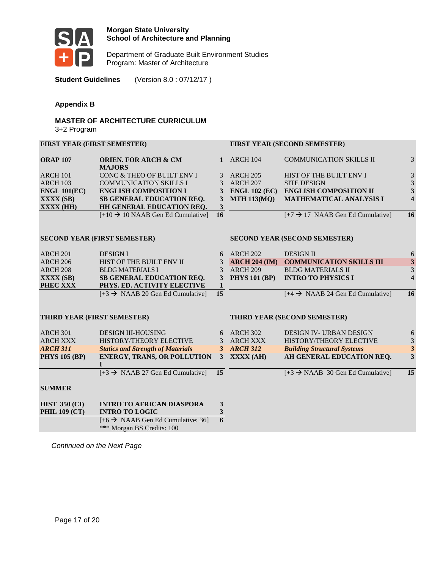

Department of Graduate Built Environment Studies Program: Master of Architecture

**Student Guidelines** (Version 8.0 : 07/12/17 )

#### **Appendix B**

#### **MASTER OF ARCHITECTURE CURRICULUM**  3+2 Program

#### **FIRST YEAR (FIRST SEMESTER) FIRST YEAR (SECOND SEMESTER)**

| <b>ORAP 107</b> | <b>ORIEN. FOR ARCH &amp; CM</b>                      |     | <b>ARCH 104</b> | <b>COMMUNICATION SKILLS II</b>                      | 3                       |
|-----------------|------------------------------------------------------|-----|-----------------|-----------------------------------------------------|-------------------------|
|                 | <b>MAJORS</b>                                        |     |                 |                                                     |                         |
| <b>ARCH 101</b> | CONC & THEO OF BUILT ENV I                           |     | ARCH 205        | HIST OF THE BUILT ENV I                             | 3                       |
| <b>ARCH 103</b> | <b>COMMUNICATION SKILLS I</b>                        |     | <b>ARCH 207</b> | <b>SITE DESIGN</b>                                  | 3                       |
| ENGL 101(EC)    | <b>ENGLISH COMPOSITION I</b>                         |     | ENGL 102 (EC)   | <b>ENGLISH COMPOSITION II</b>                       | 3                       |
| $\bf XXXX(SB)$  | <b>SB GENERAL EDUCATION REQ.</b>                     |     | 3 MTH 113(MQ)   | MATHEMATICAL ANALYSIS I                             | $\overline{\mathbf{4}}$ |
| $\bf XXXX$ (HH) | <b>HH GENERAL EDUCATION REQ.</b>                     |     |                 |                                                     |                         |
|                 | $[+10 \rightarrow 10 \text{ NAAB}$ Gen Ed Cumulative | -16 |                 | $[+7 \rightarrow 17 \text{ NAAB}$ Gen Ed Cumulative | 16                      |
|                 |                                                      |     |                 |                                                     |                         |

#### **SECOND YEAR (FIRST SEMESTER) SECOND YEAR (SECOND SEMESTER)**

| <b>ARCH 201</b> | <b>DESIGN I</b>                                | 6 ARCH 202        | <b>DESIGN II</b>                            | 6  |
|-----------------|------------------------------------------------|-------------------|---------------------------------------------|----|
| <b>ARCH 206</b> | HIST OF THE BUILT ENV II                       | $3$ ARCH 204 (IM) | <b>COMMUNICATION SKILLS III</b>             | 3  |
| <b>ARCH 208</b> | BLDG MATERIALS I                               | 3 ARCH 209        | <b>BLDG MATERIALS II</b>                    | 3  |
| $\bf XXXX(SB)$  | <b>SB GENERAL EDUCATION REO.</b>               | 3 PHYS 101 (BP)   | <b>INTRO TO PHYSICS I</b>                   |    |
| <b>PHEC XXX</b> | PHYS. ED. ACTIVITY ELECTIVE                    |                   |                                             |    |
|                 | $[+3 \rightarrow NAAB 20$ Gen Ed Cumulative 15 |                   | $[+4 \rightarrow NAAB 24$ Gen Ed Cumulative | 16 |

#### **THIRD YEAR (FIRST SEMESTER) THIRD YEAR (SECOND SEMESTER)**

| <b>ARCH 301</b>      | <b>DESIGN III-HOUSING</b>                            | 6   | <b>ARCH 302</b> | <b>DESIGN IV- URBAN DESIGN</b>                | 6  |
|----------------------|------------------------------------------------------|-----|-----------------|-----------------------------------------------|----|
| ARCH XXX             | HISTORY/THEORY ELECTIVE                              |     | <b>ARCH XXX</b> | <b>HISTORY/THEORY ELECTIVE</b>                | 3  |
| <b>ARCH 311</b>      | <b>Statics and Strength of Materials</b>             |     | <b>ARCH 312</b> | <b>Building Structural Systems</b>            |    |
| <b>PHYS 105 (BP)</b> | <b>ENERGY, TRANS, OR POLLUTION</b>                   | 3   | XXXX (AH)       | AH GENERAL EDUCATION REO.                     | 3  |
|                      |                                                      |     |                 |                                               |    |
|                      | $[+3 \rightarrow NAAB 27$ Gen Ed Cumulative          | -15 |                 | $[+3 \rightarrow NAAB \ 30$ Gen Ed Cumulative | 15 |
|                      |                                                      |     |                 |                                               |    |
| <b>SUMMER</b>        |                                                      |     |                 |                                               |    |
|                      |                                                      |     |                 |                                               |    |
| <b>HIST 350 (CI)</b> | <b>INTRO TO AFRICAN DIASPORA</b>                     |     |                 |                                               |    |
| <b>PHIL 109 (CT)</b> | <b>INTRO TO LOGIC</b>                                |     |                 |                                               |    |
|                      | $[+6 \rightarrow \text{NAAB}$ Gen Ed Cumulative: 36] | 6   |                 |                                               |    |
|                      | *** Morgan BS Credits: 100                           |     |                 |                                               |    |

*Continued on the Next Page*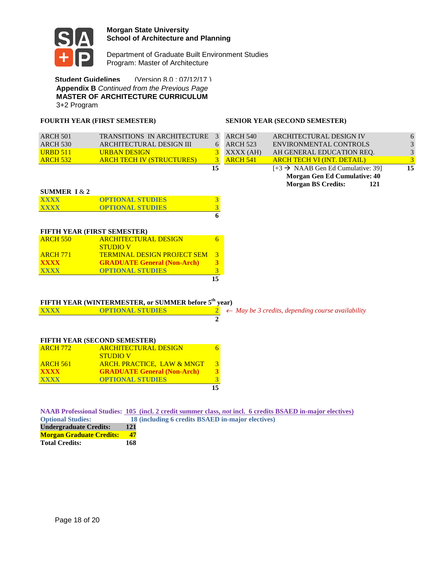

Department of Graduate Built Environment Studies Program: Master of Architecture

**Student Guidelines** (Version 8.0 : 07/12/17 ) **Appendix B** *Continued from the Previous Page* **MASTER OF ARCHITECTURE CURRICULUM**  3+2 Program

### **FOURTH YEAR (FIRST SEMESTER) SENIOR YEAR (SECOND SEMESTER)**

| SUMMER $1 & 2$  |                                  |               |                 |                                               |    |
|-----------------|----------------------------------|---------------|-----------------|-----------------------------------------------|----|
|                 |                                  |               |                 | <b>Morgan BS Credits:</b><br>121              |    |
|                 |                                  |               |                 | Morgan Gen Ed Cumulative: 40                  |    |
|                 |                                  | 15            |                 | $[+3 \rightarrow NAAB$ Gen Ed Cumulative: 39] | 15 |
| <b>ARCH 532</b> | <b>ARCH TECH IV (STRUCTURES)</b> | 3             | <b>ARCH 541</b> | <b>ARCH TECH VI (INT. DETAIL)</b>             | 3  |
| <b>URBD 511</b> | <b>URBAN DESIGN</b>              |               | XXXX (AH)       | AH GENERAL EDUCATION REO.                     | 3  |
| <b>ARCH 530</b> | ARCHITECTURAL DESIGN III         | 6             | <b>ARCH 523</b> | ENVIRONMENTAL CONTROLS                        | 3  |
| <b>ARCH 501</b> | TRANSITIONS IN ARCHITECTURE      | $\mathcal{R}$ | <b>ARCH 540</b> | ARCHITECTURAL DESIGN IV                       | 6  |
|                 |                                  |               |                 |                                               |    |

#### **SUMMER I** & **2**

| <b>XXXX</b> | <b>OPTIONAL STUDIES</b> |  |
|-------------|-------------------------|--|
| XXXX        | <b>OPTIONAL STUDIES</b> |  |
|             |                         |  |

#### **FIFTH YEAR (FIRST SEMESTER)**

|                 |                                    | 15            |
|-----------------|------------------------------------|---------------|
| <b>XXXX</b>     | <b>OPTIONAL STUDIES</b>            | 3             |
| <b>XXXX</b>     | <b>GRADUATE General (Non-Arch)</b> | 3             |
| <b>ARCH 771</b> | <b>TERMINAL DESIGN PROJECT SEM</b> | $\mathcal{R}$ |
|                 | <b>STUDIOV</b>                     |               |
| <b>ARCH 550</b> | <b>ARCHITECTURAL DESIGN</b>        |               |

#### **FIFTH YEAR (WINTERMESTER, or SUMMER before 5th year)**

|             | $\mathbf{r}$ and $\mathbf{r}$ and $\mathbf{r}$ and $\mathbf{r}$ and $\mathbf{r}$ and $\mathbf{r}$ becomes $\mathbf{r}$ and $\mathbf{r}$ |                                                                               |
|-------------|-----------------------------------------------------------------------------------------------------------------------------------------|-------------------------------------------------------------------------------|
| <b>XXXX</b> | <b>OPTIONAL STUDIES</b>                                                                                                                 | <b>Example 2</b> $\leftarrow$ May be 3 credits, depending course availability |
|             |                                                                                                                                         |                                                                               |

#### **FIFTH YEAR (SECOND SEMESTER)**

|                 |                                       | 15 |
|-----------------|---------------------------------------|----|
| <b>XXXX</b>     | <b>OPTIONAL STUDIES</b>               | 3  |
| <b>XXXX</b>     | <b>GRADUATE General (Non-Arch)</b>    | 3  |
| <b>ARCH 561</b> | <b>ARCH. PRACTICE, LAW &amp; MNGT</b> | 3  |
|                 | <b>STUDIOV</b>                        |    |
| <b>ARCH 772</b> | <b>ARCHITECTURAL DESIGN</b>           |    |

|                                 |           | NAAB Professional Studies: 105 (incl. 2 credit summer class, <i>not</i> incl. 6 credits BSAED in-major electives) |
|---------------------------------|-----------|-------------------------------------------------------------------------------------------------------------------|
| <b>Optional Studies:</b>        |           | 18 (including 6 credits BSAED in-major electives)                                                                 |
| <b>Undergraduate Credits:</b>   | 121       |                                                                                                                   |
| <b>Morgan Graduate Credits:</b> | <b>17</b> |                                                                                                                   |

**Total Credits: 168**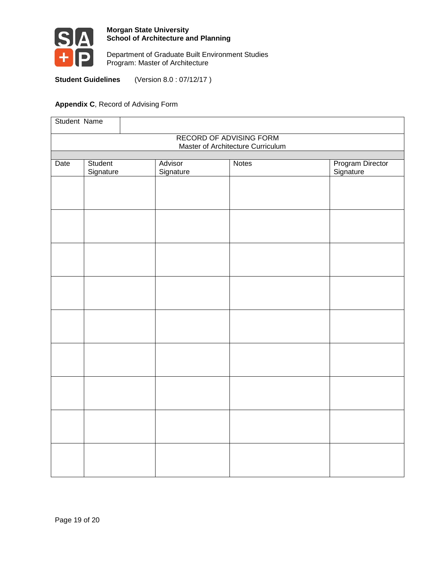

Department of Graduate Built Environment Studies Program: Master of Architecture

**Student Guidelines** (Version 8.0 : 07/12/17 )

# **Appendix C**, Record of Advising Form

| Student Name                      |                      |                      |              |                               |  |  |
|-----------------------------------|----------------------|----------------------|--------------|-------------------------------|--|--|
| <b>RECORD OF ADVISING FORM</b>    |                      |                      |              |                               |  |  |
| Master of Architecture Curriculum |                      |                      |              |                               |  |  |
| Date                              | Student<br>Signature | Advisor<br>Signature | <b>Notes</b> | Program Director<br>Signature |  |  |
|                                   |                      |                      |              |                               |  |  |
|                                   |                      |                      |              |                               |  |  |
|                                   |                      |                      |              |                               |  |  |
|                                   |                      |                      |              |                               |  |  |
|                                   |                      |                      |              |                               |  |  |
|                                   |                      |                      |              |                               |  |  |
|                                   |                      |                      |              |                               |  |  |
|                                   |                      |                      |              |                               |  |  |
|                                   |                      |                      |              |                               |  |  |
|                                   |                      |                      |              |                               |  |  |